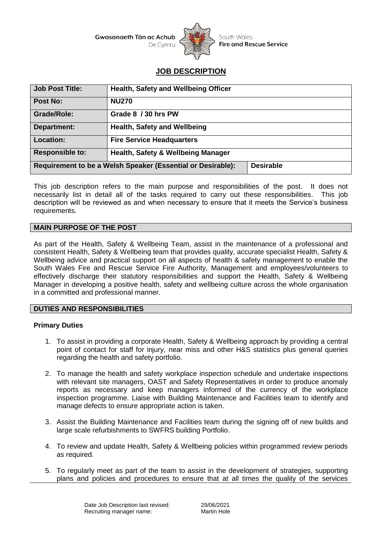

South Wales **Fire and Rescue Service** 

# **JOB DESCRIPTION**

| <b>Job Post Title:</b>                                                          | Health, Safety and Wellbeing Officer |
|---------------------------------------------------------------------------------|--------------------------------------|
| Post No:                                                                        | <b>NU270</b>                         |
| <b>Grade/Role:</b>                                                              | Grade 8 / 30 hrs PW                  |
| Department:                                                                     | <b>Health, Safety and Wellbeing</b>  |
| <b>Location:</b>                                                                | <b>Fire Service Headquarters</b>     |
| <b>Responsible to:</b>                                                          | Health, Safety & Wellbeing Manager   |
| <b>Desirable</b><br>Requirement to be a Welsh Speaker (Essential or Desirable): |                                      |

This job description refers to the main purpose and responsibilities of the post. It does not necessarily list in detail all of the tasks required to carry out these responsibilities. This job description will be reviewed as and when necessary to ensure that it meets the Service's business requirements.

## **MAIN PURPOSE OF THE POST**

As part of the Health, Safety & Wellbeing Team, assist in the maintenance of a professional and consistent Health, Safety & Wellbeing team that provides quality, accurate specialist Health, Safety & Wellbeing advice and practical support on all aspects of health & safety management to enable the South Wales Fire and Rescue Service Fire Authority, Management and employees/volunteers to effectively discharge their statutory responsibilities and support the Health, Safety & Wellbeing Manager in developing a positive health, safety and wellbeing culture across the whole organisation in a committed and professional manner.

#### **DUTIES AND RESPONSIBILITIES**

#### **Primary Duties**

- 1. To assist in providing a corporate Health, Safety & Wellbeing approach by providing a central point of contact for staff for injury, near miss and other H&S statistics plus general queries regarding the health and safety portfolio.
- 2. To manage the health and safety workplace inspection schedule and undertake inspections with relevant site managers, OAST and Safety Representatives in order to produce anomaly reports as necessary and keep managers informed of the currency of the workplace inspection programme. Liaise with Building Maintenance and Facilities team to identify and manage defects to ensure appropriate action is taken.
- 3. Assist the Building Maintenance and Facilities team during the signing off of new builds and large scale refurbishments to SWFRS building Portfolio.
- 4. To review and update Health, Safety & Wellbeing policies within programmed review periods as required.
- 5. To regularly meet as part of the team to assist in the development of strategies, supporting plans and policies and procedures to ensure that at all times the quality of the services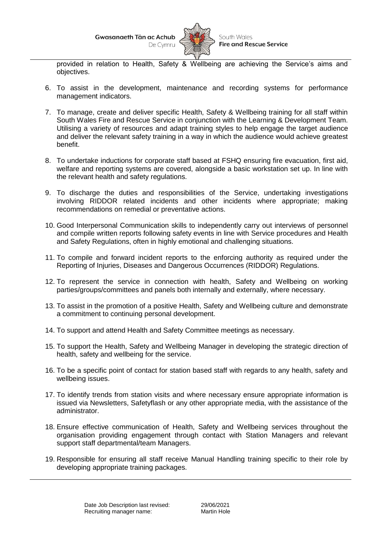

provided in relation to Health, Safety & Wellbeing are achieving the Service's aims and objectives.

- 6. To assist in the development, maintenance and recording systems for performance management indicators.
- 7. To manage, create and deliver specific Health, Safety & Wellbeing training for all staff within South Wales Fire and Rescue Service in conjunction with the Learning & Development Team. Utilising a variety of resources and adapt training styles to help engage the target audience and deliver the relevant safety training in a way in which the audience would achieve greatest benefit.
- 8. To undertake inductions for corporate staff based at FSHQ ensuring fire evacuation, first aid, welfare and reporting systems are covered, alongside a basic workstation set up. In line with the relevant health and safety regulations.
- 9. To discharge the duties and responsibilities of the Service, undertaking investigations involving RIDDOR related incidents and other incidents where appropriate; making recommendations on remedial or preventative actions.
- 10. Good Interpersonal Communication skills to independently carry out interviews of personnel and compile written reports following safety events in line with Service procedures and Health and Safety Regulations, often in highly emotional and challenging situations.
- 11. To compile and forward incident reports to the enforcing authority as required under the Reporting of Injuries, Diseases and Dangerous Occurrences (RIDDOR) Regulations.
- 12. To represent the service in connection with health, Safety and Wellbeing on working parties/groups/committees and panels both internally and externally, where necessary.
- 13. To assist in the promotion of a positive Health, Safety and Wellbeing culture and demonstrate a commitment to continuing personal development.
- 14. To support and attend Health and Safety Committee meetings as necessary.
- 15. To support the Health, Safety and Wellbeing Manager in developing the strategic direction of health, safety and wellbeing for the service.
- 16. To be a specific point of contact for station based staff with regards to any health, safety and wellbeing issues.
- 17. To identify trends from station visits and where necessary ensure appropriate information is issued via Newsletters, Safetyflash or any other appropriate media, with the assistance of the administrator.
- 18. Ensure effective communication of Health, Safety and Wellbeing services throughout the organisation providing engagement through contact with Station Managers and relevant support staff departmental/team Managers.
- 19. Responsible for ensuring all staff receive Manual Handling training specific to their role by developing appropriate training packages.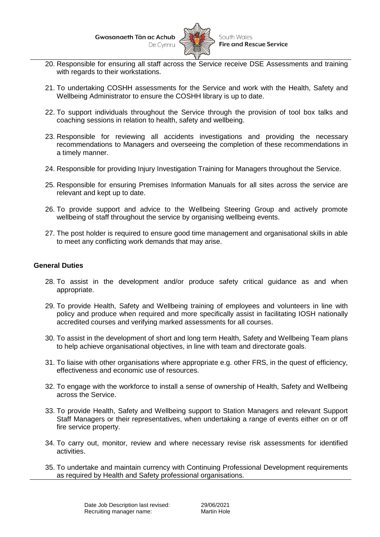

- 20. Responsible for ensuring all staff across the Service receive DSE Assessments and training with regards to their workstations.
- 21. To undertaking COSHH assessments for the Service and work with the Health, Safety and Wellbeing Administrator to ensure the COSHH library is up to date.
- 22. To support individuals throughout the Service through the provision of tool box talks and coaching sessions in relation to health, safety and wellbeing.
- 23. Responsible for reviewing all accidents investigations and providing the necessary recommendations to Managers and overseeing the completion of these recommendations in a timely manner.
- 24. Responsible for providing Injury Investigation Training for Managers throughout the Service.
- 25. Responsible for ensuring Premises Information Manuals for all sites across the service are relevant and kept up to date.
- 26. To provide support and advice to the Wellbeing Steering Group and actively promote wellbeing of staff throughout the service by organising wellbeing events.
- 27. The post holder is required to ensure good time management and organisational skills in able to meet any conflicting work demands that may arise.

### **General Duties**

- 28. To assist in the development and/or produce safety critical guidance as and when appropriate.
- 29. To provide Health, Safety and Wellbeing training of employees and volunteers in line with policy and produce when required and more specifically assist in facilitating IOSH nationally accredited courses and verifying marked assessments for all courses.
- 30. To assist in the development of short and long term Health, Safety and Wellbeing Team plans to help achieve organisational objectives, in line with team and directorate goals.
- 31. To liaise with other organisations where appropriate e.g. other FRS, in the quest of efficiency, effectiveness and economic use of resources.
- 32. To engage with the workforce to install a sense of ownership of Health, Safety and Wellbeing across the Service.
- 33. To provide Health, Safety and Wellbeing support to Station Managers and relevant Support Staff Managers or their representatives, when undertaking a range of events either on or off fire service property.
- 34. To carry out, monitor, review and where necessary revise risk assessments for identified activities.
- 35. To undertake and maintain currency with Continuing Professional Development requirements as required by Health and Safety professional organisations.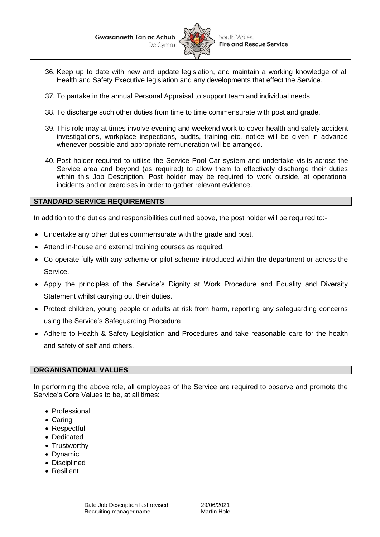

- 36. Keep up to date with new and update legislation, and maintain a working knowledge of all Health and Safety Executive legislation and any developments that effect the Service.
- 37. To partake in the annual Personal Appraisal to support team and individual needs.
- 38. To discharge such other duties from time to time commensurate with post and grade.
- 39. This role may at times involve evening and weekend work to cover health and safety accident investigations, workplace inspections, audits, training etc. notice will be given in advance whenever possible and appropriate remuneration will be arranged.
- 40. Post holder required to utilise the Service Pool Car system and undertake visits across the Service area and beyond (as required) to allow them to effectively discharge their duties within this Job Description. Post holder may be required to work outside, at operational incidents and or exercises in order to gather relevant evidence.

## **STANDARD SERVICE REQUIREMENTS**

In addition to the duties and responsibilities outlined above, the post holder will be required to:-

- Undertake any other duties commensurate with the grade and post.
- Attend in-house and external training courses as required.
- Co-operate fully with any scheme or pilot scheme introduced within the department or across the Service.
- Apply the principles of the Service's Dignity at Work Procedure and Equality and Diversity Statement whilst carrying out their duties.
- Protect children, young people or adults at risk from harm, reporting any safeguarding concerns using the Service's Safeguarding Procedure.
- Adhere to Health & Safety Legislation and Procedures and take reasonable care for the health and safety of self and others.

#### **ORGANISATIONAL VALUES**

In performing the above role, all employees of the Service are required to observe and promote the Service's Core Values to be, at all times:

- Professional
- Caring
- Respectful
- Dedicated
- Trustworthy
- Dynamic
- Disciplined
- Resilient